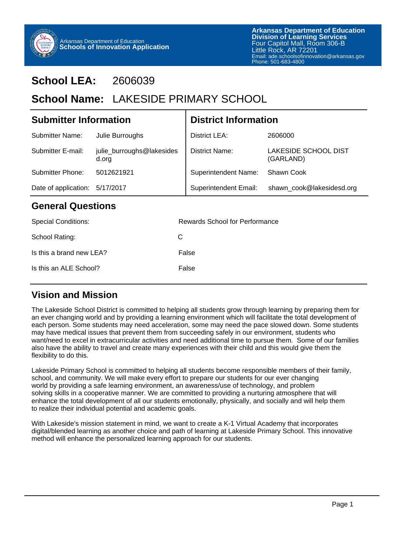

# **School LEA:** 2606039

# School Name: LAKESIDE PRIMARY SCHOOL

| <b>Submitter Information</b> |                                    | <b>District Information</b> |                                   |  |
|------------------------------|------------------------------------|-----------------------------|-----------------------------------|--|
| <b>Submitter Name:</b>       | Julie Burroughs                    | District LEA:               | 2606000                           |  |
| Submitter E-mail:            | julie_burroughs@lakesides<br>d.org | District Name:              | LAKESIDE SCHOOL DIST<br>(GARLAND) |  |
| <b>Submitter Phone:</b>      | 5012621921                         | <b>Superintendent Name:</b> | Shawn Cook                        |  |
| Date of application:         | 5/17/2017                          | Superintendent Email:       | shawn_cook@lakesidesd.org         |  |
| <b>General Questions</b>     |                                    |                             |                                   |  |

| <b>Special Conditions:</b> | Rewards School for Performance |
|----------------------------|--------------------------------|
| School Rating:             | C                              |
| Is this a brand new LEA?   | False                          |
| Is this an ALE School?     | False                          |
|                            |                                |

### **Vision and Mission**

The Lakeside School District is committed to helping all students grow through learning by preparing them for an ever changing world and by providing a learning environment which will facilitate the total development of each person. Some students may need acceleration, some may need the pace slowed down. Some students may have medical issues that prevent them from succeeding safely in our environment, students who want/need to excel in extracurricular activities and need additional time to pursue them. Some of our families also have the ability to travel and create many experiences with their child and this would give them the flexibility to do this.

Lakeside Primary School is committed to helping all students become responsible members of their family, school, and community. We will make every effort to prepare our students for our ever changing world by providing a safe learning environment, an awareness/use of technology, and problem solving skills in a cooperative manner. We are committed to providing a nurturing atmosphere that will enhance the total development of all our students emotionally, physically, and socially and will help them to realize their individual potential and academic goals.

With Lakeside's mission statement in mind, we want to create a K-1 Virtual Academy that incorporates digital/blended learning as another choice and path of learning at Lakeside Primary School. This innovative method will enhance the personalized learning approach for our students.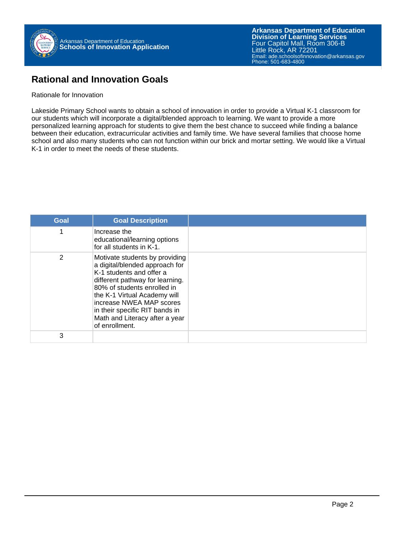

#### **Rational and Innovation Goals**

#### Rationale for Innovation

Lakeside Primary School wants to obtain a school of innovation in order to provide a Virtual K-1 classroom for our students which will incorporate a digital/blended approach to learning. We want to provide a more personalized learning approach for students to give them the best chance to succeed while finding a balance between their education, extracurricular activities and family time. We have several families that choose home school and also many students who can not function within our brick and mortar setting. We would like a Virtual K-1 in order to meet the needs of these students.

| Goal | <b>Goal Description</b>                                                                                                                                                                                                                                                                                          |  |
|------|------------------------------------------------------------------------------------------------------------------------------------------------------------------------------------------------------------------------------------------------------------------------------------------------------------------|--|
|      | Increase the<br>educational/learning options<br>for all students in K-1.                                                                                                                                                                                                                                         |  |
| 2    | Motivate students by providing<br>a digital/blended approach for<br>K-1 students and offer a<br>different pathway for learning.<br>80% of students enrolled in<br>the K-1 Virtual Academy will<br>increase NWEA MAP scores<br>in their specific RIT bands in<br>Math and Literacy after a year<br>of enrollment. |  |
| 3    |                                                                                                                                                                                                                                                                                                                  |  |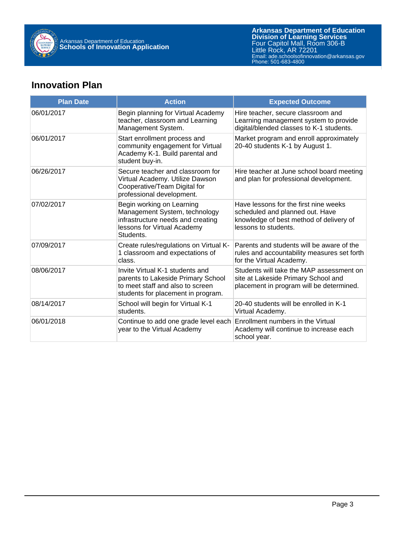

## **Innovation Plan**

| <b>Plan Date</b> | <b>Action</b>                                                                                                                                   | <b>Expected Outcome</b>                                                                                                                     |
|------------------|-------------------------------------------------------------------------------------------------------------------------------------------------|---------------------------------------------------------------------------------------------------------------------------------------------|
| 06/01/2017       | Begin planning for Virtual Academy<br>teacher, classroom and Learning<br>Management System.                                                     | Hire teacher, secure classroom and<br>Learning management system to provide<br>digital/blended classes to K-1 students.                     |
| 06/01/2017       | Start enrollment process and<br>community engagement for Virtual<br>Academy K-1. Build parental and<br>student buy-in.                          | Market program and enroll approximately<br>20-40 students K-1 by August 1.                                                                  |
| 06/26/2017       | Secure teacher and classroom for<br>Virtual Academy. Utilize Dawson<br>Cooperative/Team Digital for<br>professional development.                | Hire teacher at June school board meeting<br>and plan for professional development.                                                         |
| 07/02/2017       | Begin working on Learning<br>Management System, technology<br>infrastructure needs and creating<br>lessons for Virtual Academy<br>Students.     | Have lessons for the first nine weeks<br>scheduled and planned out. Have<br>knowledge of best method of delivery of<br>lessons to students. |
| 07/09/2017       | Create rules/regulations on Virtual K-<br>1 classroom and expectations of<br>class.                                                             | Parents and students will be aware of the<br>rules and accountability measures set forth<br>for the Virtual Academy.                        |
| 08/06/2017       | Invite Virtual K-1 students and<br>parents to Lakeside Primary School<br>to meet staff and also to screen<br>students for placement in program. | Students will take the MAP assessment on<br>site at Lakeside Primary School and<br>placement in program will be determined.                 |
| 08/14/2017       | School will begin for Virtual K-1<br>students.                                                                                                  | 20-40 students will be enrolled in K-1<br>Virtual Academy.                                                                                  |
| 06/01/2018       | Continue to add one grade level each<br>year to the Virtual Academy                                                                             | Enrollment numbers in the Virtual<br>Academy will continue to increase each<br>school year.                                                 |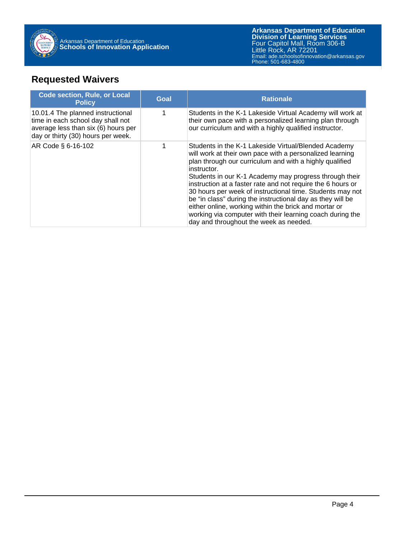

## **Requested Waivers**

| <b>Code section, Rule, or Local</b><br><b>Policy</b>                                                                                                 | Goal | <b>Rationale</b>                                                                                                                                                                                                                                                                                                                                                                                                                                                                                                                                                                                               |
|------------------------------------------------------------------------------------------------------------------------------------------------------|------|----------------------------------------------------------------------------------------------------------------------------------------------------------------------------------------------------------------------------------------------------------------------------------------------------------------------------------------------------------------------------------------------------------------------------------------------------------------------------------------------------------------------------------------------------------------------------------------------------------------|
| 10.01.4 The planned instructional<br>time in each school day shall not<br>average less than $six(6)$ hours per<br>day or thirty (30) hours per week. |      | Students in the K-1 Lakeside Virtual Academy will work at<br>their own pace with a personalized learning plan through<br>our curriculum and with a highly qualified instructor.                                                                                                                                                                                                                                                                                                                                                                                                                                |
| AR Code § 6-16-102                                                                                                                                   |      | Students in the K-1 Lakeside Virtual/Blended Academy<br>will work at their own pace with a personalized learning<br>plan through our curriculum and with a highly qualified<br>instructor.<br>Students in our K-1 Academy may progress through their<br>instruction at a faster rate and not require the 6 hours or<br>30 hours per week of instructional time. Students may not<br>be "in class" during the instructional day as they will be<br>either online, working within the brick and mortar or<br>working via computer with their learning coach during the<br>day and throughout the week as needed. |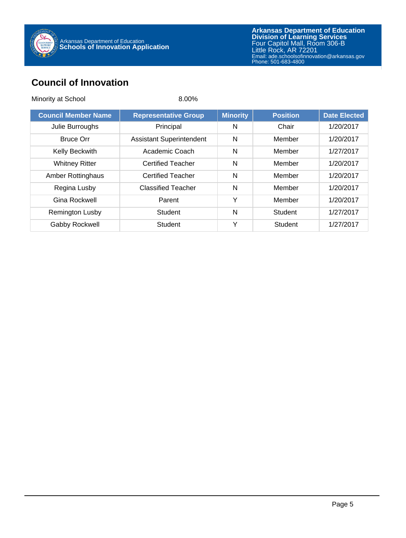

## **Council of Innovation**

| Minority at School         | 8.00%                           |                 |                 |                     |
|----------------------------|---------------------------------|-----------------|-----------------|---------------------|
| <b>Council Member Name</b> | <b>Representative Group</b>     | <b>Minority</b> | <b>Position</b> | <b>Date Elected</b> |
| Julie Burroughs            | Principal                       | N               | Chair           | 1/20/2017           |
| <b>Bruce Orr</b>           | <b>Assistant Superintendent</b> | N               | Member          | 1/20/2017           |
| Kelly Beckwith             | Academic Coach                  | N               | Member          | 1/27/2017           |
| <b>Whitney Ritter</b>      | <b>Certified Teacher</b>        | N               | Member          | 1/20/2017           |
| Amber Rottinghaus          | <b>Certified Teacher</b>        | N               | Member          | 1/20/2017           |
| Regina Lusby               | <b>Classified Teacher</b>       | N               | Member          | 1/20/2017           |
| Gina Rockwell              | Parent                          | Y               | Member          | 1/20/2017           |
| Remington Lusby            | <b>Student</b>                  | N               | <b>Student</b>  | 1/27/2017           |
| Gabby Rockwell             | <b>Student</b>                  | Υ               | Student         | 1/27/2017           |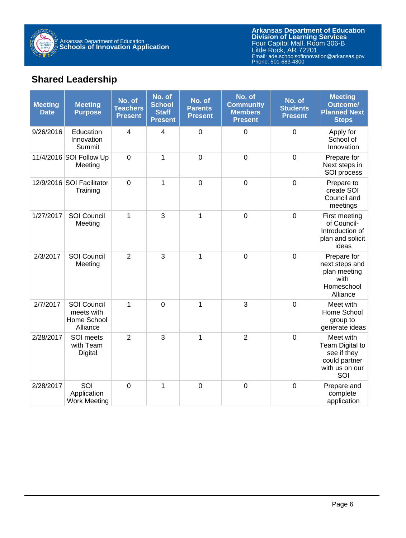

## **Shared Leadership**

| <b>Meeting</b><br><b>Date</b> | <b>Meeting</b><br><b>Purpose</b>                            | No. of<br><b>Teachers</b><br><b>Present</b> | No. of<br><b>School</b><br><b>Staff</b><br><b>Present</b> | No. of<br><b>Parents</b><br><b>Present</b> | No. of<br><b>Community</b><br><b>Members</b><br><b>Present</b> | No. of<br><b>Students</b><br><b>Present</b> | <b>Meeting</b><br><b>Outcome/</b><br><b>Planned Next</b><br><b>Steps</b>              |
|-------------------------------|-------------------------------------------------------------|---------------------------------------------|-----------------------------------------------------------|--------------------------------------------|----------------------------------------------------------------|---------------------------------------------|---------------------------------------------------------------------------------------|
| 9/26/2016                     | Education<br>Innovation<br>Summit                           | 4                                           | 4                                                         | $\mathbf 0$                                | $\mathbf 0$                                                    | $\mathbf 0$                                 | Apply for<br>School of<br>Innovation                                                  |
|                               | 11/4/2016 SOI Follow Up<br>Meeting                          | $\overline{0}$                              | 1                                                         | $\mathbf 0$                                | $\mathbf 0$                                                    | $\mathbf 0$                                 | Prepare for<br>Next steps in<br>SOI process                                           |
|                               | 12/9/2016 SOI Facilitator<br>Training                       | $\mathbf 0$                                 | 1                                                         | $\mathbf 0$                                | $\boldsymbol{0}$                                               | $\mathbf 0$                                 | Prepare to<br>create SOI<br>Council and<br>meetings                                   |
| 1/27/2017                     | SOI Council<br>Meeting                                      | 1                                           | 3                                                         | $\mathbf{1}$                               | $\mathbf 0$                                                    | $\mathbf 0$                                 | First meeting<br>of Council-<br>Introduction of<br>plan and solicit<br>ideas          |
| 2/3/2017                      | <b>SOI Council</b><br>Meeting                               | $\overline{2}$                              | 3                                                         | $\mathbf{1}$                               | $\boldsymbol{0}$                                               | $\mathbf 0$                                 | Prepare for<br>next steps and<br>plan meeting<br>with<br>Homeschool<br>Alliance       |
| 2/7/2017                      | <b>SOI Council</b><br>meets with<br>Home School<br>Alliance | 1                                           | $\overline{0}$                                            | $\mathbf{1}$                               | 3                                                              | $\mathbf 0$                                 | Meet with<br>Home School<br>group to<br>generate ideas                                |
| 2/28/2017                     | SOI meets<br>with Team<br><b>Digital</b>                    | $\overline{2}$                              | 3                                                         | $\mathbf{1}$                               | $\overline{2}$                                                 | $\mathbf 0$                                 | Meet with<br>Team Digital to<br>see if they<br>could partner<br>with us on our<br>SOI |
| 2/28/2017                     | SOI<br>Application<br><b>Work Meeting</b>                   | $\mathbf 0$                                 | 1                                                         | $\mathbf 0$                                | $\mathbf 0$                                                    | $\mathbf 0$                                 | Prepare and<br>complete<br>application                                                |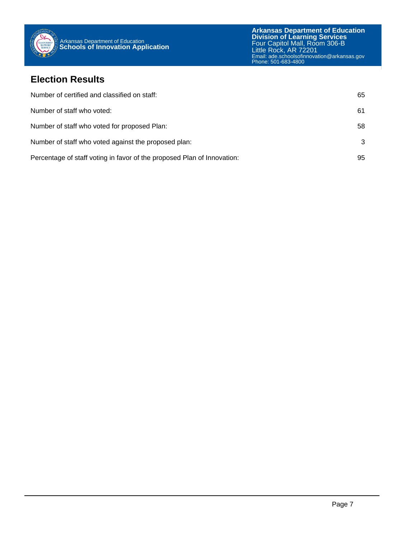

#### **Election Results**

| Number of certified and classified on staff:                            | 65 |
|-------------------------------------------------------------------------|----|
| Number of staff who voted:                                              | 61 |
| Number of staff who voted for proposed Plan:                            | 58 |
| Number of staff who voted against the proposed plan:                    | 3  |
| Percentage of staff voting in favor of the proposed Plan of Innovation: | 95 |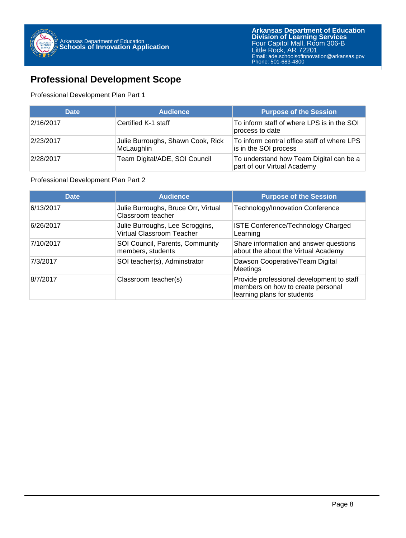

### **Professional Development Scope**

#### Professional Development Plan Part 1

| <b>Date</b> | <b>Audience</b>                                 | <b>Purpose of the Session</b>                                          |
|-------------|-------------------------------------------------|------------------------------------------------------------------------|
| 2/16/2017   | Certified K-1 staff                             | To inform staff of where LPS is in the SOI<br>process to date          |
| 2/23/2017   | Julie Burroughs, Shawn Cook, Rick<br>McLaughlin | To inform central office staff of where LPS<br>is in the SOI process   |
| 2/28/2017   | Team Digital/ADE, SOI Council                   | To understand how Team Digital can be a<br>part of our Virtual Academy |

#### Professional Development Plan Part 2

| <b>Date</b> | <b>Audience</b>                                                     | <b>Purpose of the Session</b>                                                                                 |
|-------------|---------------------------------------------------------------------|---------------------------------------------------------------------------------------------------------------|
| 6/13/2017   | Julie Burroughs, Bruce Orr, Virtual<br>Classroom teacher            | Technology/Innovation Conference                                                                              |
| 6/26/2017   | Julie Burroughs, Lee Scroggins,<br><b>Virtual Classroom Teacher</b> | <b>ISTE Conference/Technology Charged</b><br>Learning                                                         |
| 7/10/2017   | SOI Council, Parents, Community<br>members, students                | Share information and answer questions<br>about the about the Virtual Academy                                 |
| 7/3/2017    | SOI teacher(s), Adminstrator                                        | Dawson Cooperative/Team Digital<br>Meetings                                                                   |
| 8/7/2017    | Classroom teacher(s)                                                | Provide professional development to staff<br>members on how to create personal<br>learning plans for students |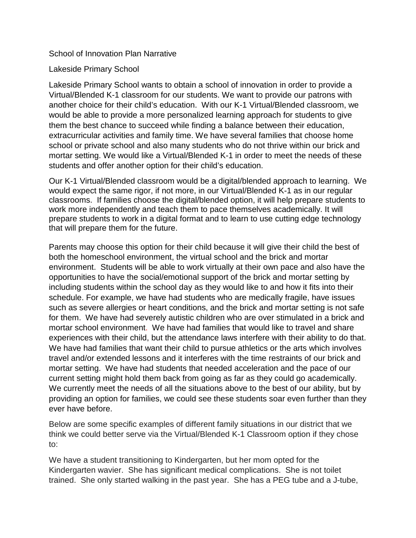#### School of Innovation Plan Narrative

#### Lakeside Primary School

Lakeside Primary School wants to obtain a school of innovation in order to provide a Virtual/Blended K-1 classroom for our students. We want to provide our patrons with another choice for their child's education. With our K-1 Virtual/Blended classroom, we would be able to provide a more personalized learning approach for students to give them the best chance to succeed while finding a balance between their education, extracurricular activities and family time. We have several families that choose home school or private school and also many students who do not thrive within our brick and mortar setting. We would like a Virtual/Blended K-1 in order to meet the needs of these students and offer another option for their child's education.

Our K-1 Virtual/Blended classroom would be a digital/blended approach to learning. We would expect the same rigor, if not more, in our Virtual/Blended K-1 as in our regular classrooms. If families choose the digital/blended option, it will help prepare students to work more independently and teach them to pace themselves academically. It will prepare students to work in a digital format and to learn to use cutting edge technology that will prepare them for the future.

Parents may choose this option for their child because it will give their child the best of both the homeschool environment, the virtual school and the brick and mortar environment. Students will be able to work virtually at their own pace and also have the opportunities to have the social/emotional support of the brick and mortar setting by including students within the school day as they would like to and how it fits into their schedule. For example, we have had students who are medically fragile, have issues such as severe allergies or heart conditions, and the brick and mortar setting is not safe for them. We have had severely autistic children who are over stimulated in a brick and mortar school environment. We have had families that would like to travel and share experiences with their child, but the attendance laws interfere with their ability to do that. We have had families that want their child to pursue athletics or the arts which involves travel and/or extended lessons and it interferes with the time restraints of our brick and mortar setting. We have had students that needed acceleration and the pace of our current setting might hold them back from going as far as they could go academically. We currently meet the needs of all the situations above to the best of our ability, but by providing an option for families, we could see these students soar even further than they ever have before.

Below are some specific examples of different family situations in our district that we think we could better serve via the Virtual/Blended K-1 Classroom option if they chose to:

We have a student transitioning to Kindergarten, but her mom opted for the Kindergarten wavier. She has significant medical complications. She is not toilet trained. She only started walking in the past year. She has a PEG tube and a J-tube,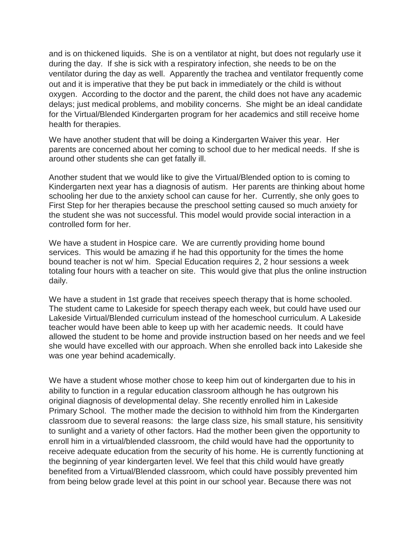and is on thickened liquids. She is on a ventilator at night, but does not regularly use it during the day. If she is sick with a respiratory infection, she needs to be on the ventilator during the day as well. Apparently the trachea and ventilator frequently come out and it is imperative that they be put back in immediately or the child is without oxygen. According to the doctor and the parent, the child does not have any academic delays; just medical problems, and mobility concerns. She might be an ideal candidate for the Virtual/Blended Kindergarten program for her academics and still receive home health for therapies.

We have another student that will be doing a Kindergarten Waiver this year. Her parents are concerned about her coming to school due to her medical needs. If she is around other students she can get fatally ill.

Another student that we would like to give the Virtual/Blended option to is coming to Kindergarten next year has a diagnosis of autism. Her parents are thinking about home schooling her due to the anxiety school can cause for her. Currently, she only goes to First Step for her therapies because the preschool setting caused so much anxiety for the student she was not successful. This model would provide social interaction in a controlled form for her.

We have a student in Hospice care. We are currently providing home bound services. This would be amazing if he had this opportunity for the times the home bound teacher is not w/ him. Special Education requires 2, 2 hour sessions a week totaling four hours with a teacher on site. This would give that plus the online instruction daily.

We have a student in 1st grade that receives speech therapy that is home schooled. The student came to Lakeside for speech therapy each week, but could have used our Lakeside Virtual/Blended curriculum instead of the homeschool curriculum. A Lakeside teacher would have been able to keep up with her academic needs. It could have allowed the student to be home and provide instruction based on her needs and we feel she would have excelled with our approach. When she enrolled back into Lakeside she was one year behind academically.

We have a student whose mother chose to keep him out of kindergarten due to his in ability to function in a regular education classroom although he has outgrown his original diagnosis of developmental delay. She recently enrolled him in Lakeside Primary School. The mother made the decision to withhold him from the Kindergarten classroom due to several reasons: the large class size, his small stature, his sensitivity to sunlight and a variety of other factors. Had the mother been given the opportunity to enroll him in a virtual/blended classroom, the child would have had the opportunity to receive adequate education from the security of his home. He is currently functioning at the beginning of year kindergarten level. We feel that this child would have greatly benefited from a Virtual/Blended classroom, which could have possibly prevented him from being below grade level at this point in our school year. Because there was not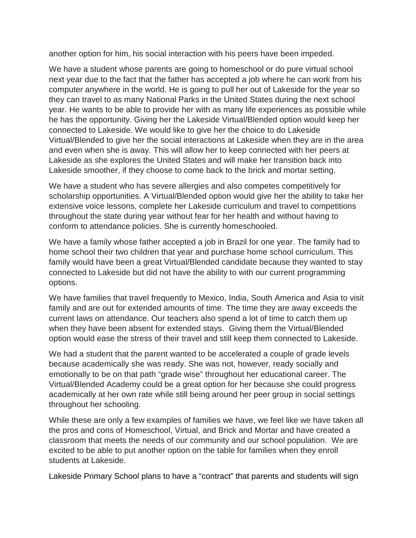another option for him, his social interaction with his peers have been impeded.

We have a student whose parents are going to homeschool or do pure virtual school next year due to the fact that the father has accepted a job where he can work from his computer anywhere in the world. He is going to pull her out of Lakeside for the year so they can travel to as many National Parks in the United States during the next school year. He wants to be able to provide her with as many life experiences as possible while he has the opportunity. Giving her the Lakeside Virtual/Blended option would keep her connected to Lakeside. We would like to give her the choice to do Lakeside Virtual/Blended to give her the social interactions at Lakeside when they are in the area and even when she is away. This will allow her to keep connected with her peers at Lakeside as she explores the United States and will make her transition back into Lakeside smoother, if they choose to come back to the brick and mortar setting.

We have a student who has severe allergies and also competes competitively for scholarship opportunities. A Virtual/Blended option would give her the ability to take her extensive voice lessons, complete her Lakeside curriculum and travel to competitions throughout the state during year without fear for her health and without having to conform to attendance policies. She is currently homeschooled.

We have a family whose father accepted a job in Brazil for one year. The family had to home school their two children that year and purchase home school curriculum. This family would have been a great Virtual/Blended candidate because they wanted to stay connected to Lakeside but did not have the ability to with our current programming options.

We have families that travel frequently to Mexico, India, South America and Asia to visit family and are out for extended amounts of time. The time they are away exceeds the current laws on attendance. Our teachers also spend a lot of time to catch them up when they have been absent for extended stays. Giving them the Virtual/Blended option would ease the stress of their travel and still keep them connected to Lakeside.

We had a student that the parent wanted to be accelerated a couple of grade levels because academically she was ready. She was not, however, ready socially and emotionally to be on that path "grade wise" throughout her educational career. The Virtual/Blended Academy could be a great option for her because she could progress academically at her own rate while still being around her peer group in social settings throughout her schooling.

While these are only a few examples of families we have, we feel like we have taken all the pros and cons of Homeschool, Virtual, and Brick and Mortar and have created a classroom that meets the needs of our community and our school population. We are excited to be able to put another option on the table for families when they enroll students at Lakeside.

Lakeside Primary School plans to have a "contract" that parents and students will sign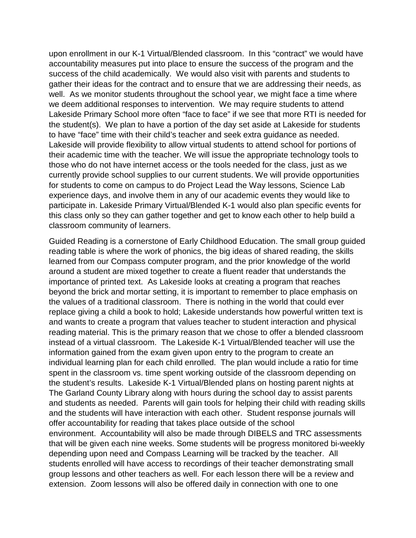upon enrollment in our K-1 Virtual/Blended classroom. In this "contract" we would have accountability measures put into place to ensure the success of the program and the success of the child academically. We would also visit with parents and students to gather their ideas for the contract and to ensure that we are addressing their needs, as well. As we monitor students throughout the school year, we might face a time where we deem additional responses to intervention. We may require students to attend Lakeside Primary School more often "face to face" if we see that more RTI is needed for the student(s). We plan to have a portion of the day set aside at Lakeside for students to have "face" time with their child's teacher and seek extra guidance as needed. Lakeside will provide flexibility to allow virtual students to attend school for portions of their academic time with the teacher. We will issue the appropriate technology tools to those who do not have internet access or the tools needed for the class, just as we currently provide school supplies to our current students. We will provide opportunities for students to come on campus to do Project Lead the Way lessons, Science Lab experience days, and involve them in any of our academic events they would like to participate in. Lakeside Primary Virtual/Blended K-1 would also plan specific events for this class only so they can gather together and get to know each other to help build a classroom community of learners.

Guided Reading is a cornerstone of Early Childhood Education. The small group guided reading table is where the work of phonics, the big ideas of shared reading, the skills learned from our Compass computer program, and the prior knowledge of the world around a student are mixed together to create a fluent reader that understands the importance of printed text. As Lakeside looks at creating a program that reaches beyond the brick and mortar setting, it is important to remember to place emphasis on the values of a traditional classroom. There is nothing in the world that could ever replace giving a child a book to hold; Lakeside understands how powerful written text is and wants to create a program that values teacher to student interaction and physical reading material. This is the primary reason that we chose to offer a blended classroom instead of a virtual classroom. The Lakeside K-1 Virtual/Blended teacher will use the information gained from the exam given upon entry to the program to create an individual learning plan for each child enrolled. The plan would include a ratio for time spent in the classroom vs. time spent working outside of the classroom depending on the student's results. Lakeside K-1 Virtual/Blended plans on hosting parent nights at The Garland County Library along with hours during the school day to assist parents and students as needed. Parents will gain tools for helping their child with reading skills and the students will have interaction with each other. Student response journals will offer accountability for reading that takes place outside of the school environment. Accountability will also be made through DIBELS and TRC assessments that will be given each nine weeks. Some students will be progress monitored bi-weekly depending upon need and Compass Learning will be tracked by the teacher. All students enrolled will have access to recordings of their teacher demonstrating small group lessons and other teachers as well. For each lesson there will be a review and extension. Zoom lessons will also be offered daily in connection with one to one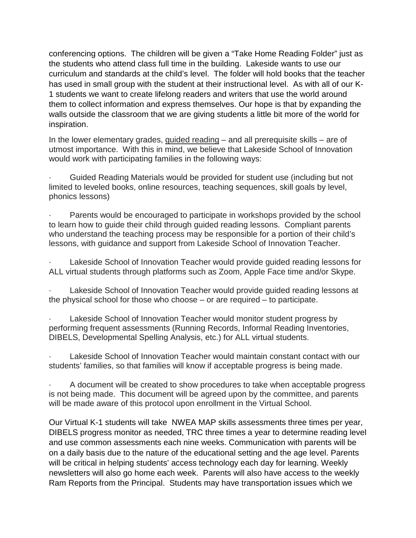conferencing options. The children will be given a "Take Home Reading Folder" just as the students who attend class full time in the building. Lakeside wants to use our curriculum and standards at the child's level. The folder will hold books that the teacher has used in small group with the student at their instructional level. As with all of our K-1 students we want to create lifelong readers and writers that use the world around them to collect information and express themselves. Our hope is that by expanding the walls outside the classroom that we are giving students a little bit more of the world for inspiration.

In the lower elementary grades, guided reading – and all prerequisite skills – are of utmost importance. With this in mind, we believe that Lakeside School of Innovation would work with participating families in the following ways:

· Guided Reading Materials would be provided for student use (including but not limited to leveled books, online resources, teaching sequences, skill goals by level, phonics lessons)

Parents would be encouraged to participate in workshops provided by the school to learn how to guide their child through guided reading lessons. Compliant parents who understand the teaching process may be responsible for a portion of their child's lessons, with guidance and support from Lakeside School of Innovation Teacher.

Lakeside School of Innovation Teacher would provide guided reading lessons for ALL virtual students through platforms such as Zoom, Apple Face time and/or Skype.

Lakeside School of Innovation Teacher would provide guided reading lessons at the physical school for those who choose – or are required – to participate.

Lakeside School of Innovation Teacher would monitor student progress by performing frequent assessments (Running Records, Informal Reading Inventories, DIBELS, Developmental Spelling Analysis, etc.) for ALL virtual students.

Lakeside School of Innovation Teacher would maintain constant contact with our students' families, so that families will know if acceptable progress is being made.

A document will be created to show procedures to take when acceptable progress is not being made. This document will be agreed upon by the committee, and parents will be made aware of this protocol upon enrollment in the Virtual School.

Our Virtual K-1 students will take NWEA MAP skills assessments three times per year, DIBELS progress monitor as needed, TRC three times a year to determine reading level and use common assessments each nine weeks. Communication with parents will be on a daily basis due to the nature of the educational setting and the age level. Parents will be critical in helping students' access technology each day for learning. Weekly newsletters will also go home each week. Parents will also have access to the weekly Ram Reports from the Principal. Students may have transportation issues which we